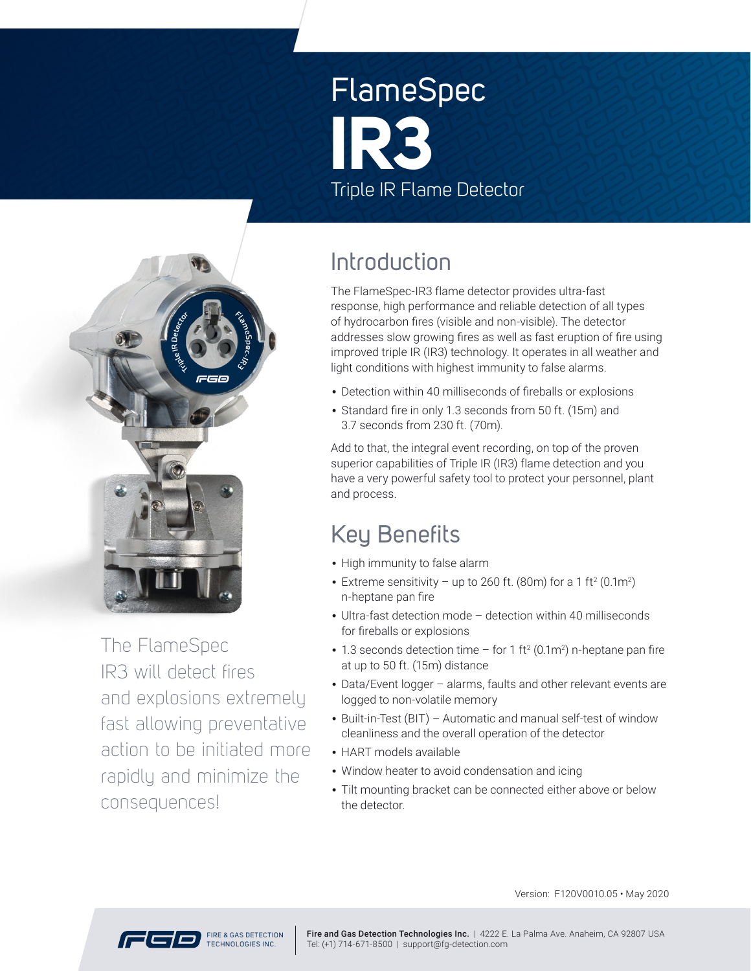# FlameSpec Triple IR Flame Detector **IR3**



The FlameSpec IR3 will detect fires and explosions extremely fast allowing preventative action to be initiated more rapidly and minimize the consequences!

### Introduction

The FlameSpec-IR3 flame detector provides ultra-fast response, high performance and reliable detection of all types of hydrocarbon fires (visible and non-visible). The detector addresses slow growing fires as well as fast eruption of fire using improved triple IR (IR3) technology. It operates in all weather and light conditions with highest immunity to false alarms.

- Detection within 40 milliseconds of fireballs or explosions
- Standard fire in only 1.3 seconds from 50 ft. (15m) and 3.7 seconds from 230 ft. (70m).

Add to that, the integral event recording, on top of the proven superior capabilities of Triple IR (IR3) flame detection and you have a very powerful safety tool to protect your personnel, plant and process.

### Key Benefits

- High immunity to false alarm
- Extreme sensitivity up to 260 ft. (80m) for a 1 ft<sup>2</sup> (0.1m<sup>2</sup>) n-heptane pan fire
- Ultra-fast detection mode detection within 40 milliseconds for fireballs or explosions
- 1.3 seconds detection time for 1 ft<sup>2</sup> (0.1m<sup>2</sup>) n-heptane pan fire at up to 50 ft. (15m) distance
- Data/Event logger alarms, faults and other relevant events are logged to non-volatile memory
- Built-in-Test (BIT) Automatic and manual self-test of window cleanliness and the overall operation of the detector
- HART models available
- Window heater to avoid condensation and icing
- Tilt mounting bracket can be connected either above or below the detector.



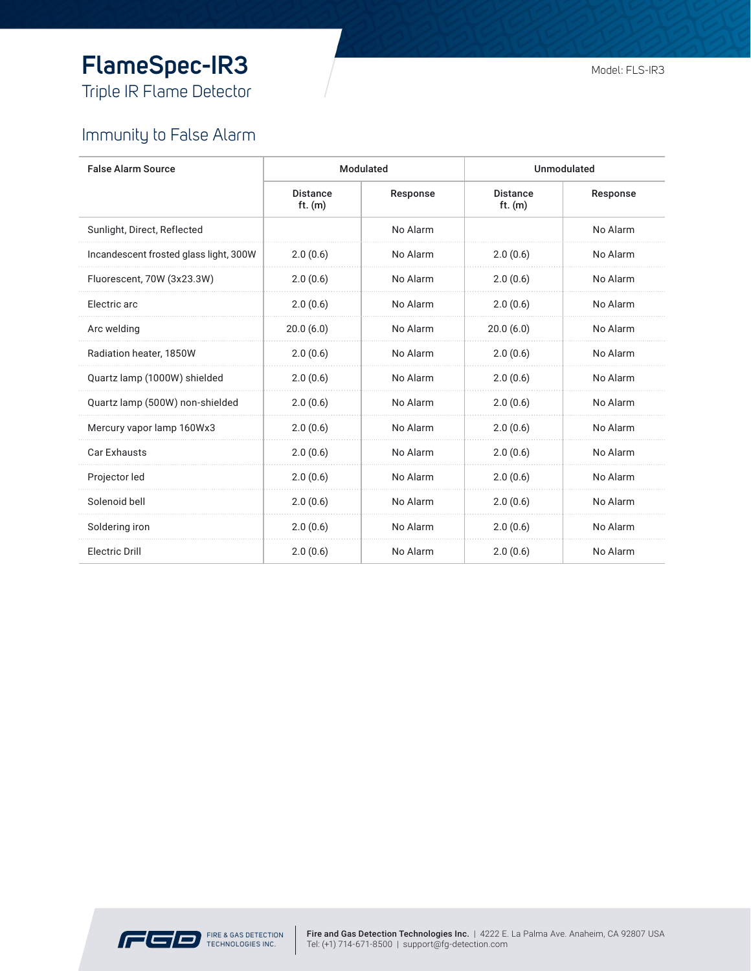# **FlameSpec-IR3**

Triple IR Flame Detector

#### Immunity to False Alarm

| <b>False Alarm Source</b>              |                              | Modulated | Unmodulated                  |          |
|----------------------------------------|------------------------------|-----------|------------------------------|----------|
|                                        | <b>Distance</b><br>ft. $(m)$ | Response  | <b>Distance</b><br>ft. $(m)$ | Response |
| Sunlight, Direct, Reflected            |                              | No Alarm  |                              | No Alarm |
| Incandescent frosted glass light, 300W | 2.0(0.6)                     | No Alarm  | 2.0(0.6)                     | No Alarm |
| Fluorescent, 70W (3x23.3W)             | 2.0(0.6)                     | No Alarm  | 2.0(0.6)                     | No Alarm |
| Electric arc                           | 2.0(0.6)                     | No Alarm  | 2.0(0.6)                     | No Alarm |
| Arc welding                            | 20.0(6.0)                    | No Alarm  | 20.0(6.0)                    | No Alarm |
| Radiation heater, 1850W                | 2.0(0.6)                     | No Alarm  | 2.0(0.6)                     | No Alarm |
| Quartz lamp (1000W) shielded           | 2.0(0.6)                     | No Alarm  | 2.0(0.6)                     | No Alarm |
| Quartz lamp (500W) non-shielded        | 2.0(0.6)                     | No Alarm  | 2.0(0.6)                     | No Alarm |
| Mercury vapor lamp 160Wx3              | 2.0(0.6)                     | No Alarm  | 2.0(0.6)                     | No Alarm |
| Car Exhausts                           | 2.0(0.6)                     | No Alarm  | 2.0(0.6)                     | No Alarm |
| Projector led                          | 2.0(0.6)                     | No Alarm  | 2.0(0.6)                     | No Alarm |
| Solenoid bell                          | 2.0(0.6)                     | No Alarm  | 2.0(0.6)                     | No Alarm |
| Soldering iron                         | 2.0(0.6)                     | No Alarm  | 2.0(0.6)                     | No Alarm |
| <b>Electric Drill</b>                  | 2.0(0.6)                     | No Alarm  | 2.0(0.6)                     | No Alarm |

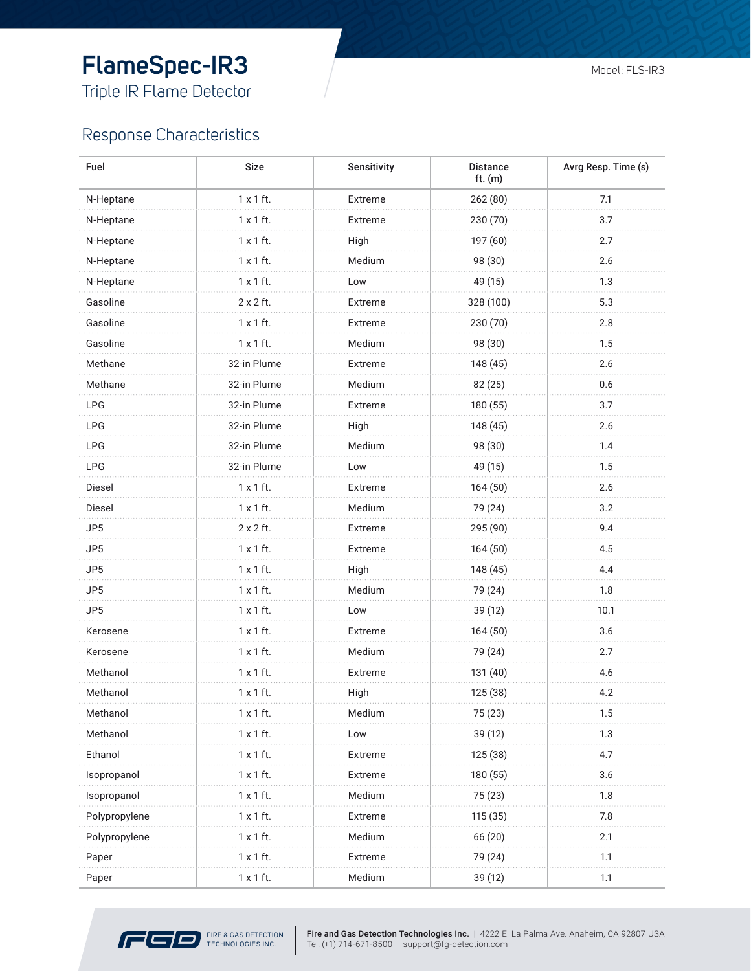## **FlameSpec-IR3**

Triple IR Flame Detector

#### Response Characteristics

| Fuel          | <b>Size</b>      | Sensitivity | <b>Distance</b><br>$ft.$ $(m)$ | Avrg Resp. Time (s) |  |
|---------------|------------------|-------------|--------------------------------|---------------------|--|
| N-Heptane     | $1 \times 1$ ft. | Extreme     | 262 (80)                       | 7.1                 |  |
| N-Heptane     | $1 \times 1$ ft. | Extreme     | 230 (70)                       | 3.7                 |  |
| N-Heptane     | $1 \times 1$ ft. | High        | 197 (60)                       | 2.7                 |  |
| N-Heptane     | $1 \times 1$ ft. | Medium      | 98 (30)                        | 2.6                 |  |
| N-Heptane     | $1 \times 1$ ft. | Low         | 49 (15)                        | 1.3                 |  |
| Gasoline      | 2 x 2 ft.        | Extreme     | 328 (100)                      | 5.3                 |  |
| Gasoline      | $1 \times 1$ ft. | Extreme     | 230 (70)                       | 2.8                 |  |
| Gasoline      | $1 \times 1$ ft. | Medium      | 98 (30)                        | 1.5                 |  |
| Methane       | 32-in Plume      | Extreme     | 148 (45)                       | 2.6                 |  |
| Methane       | 32-in Plume      | Medium      | 82 (25)                        | 0.6                 |  |
| <b>LPG</b>    | 32-in Plume      | Extreme     | 180 (55)                       | 3.7                 |  |
| <b>LPG</b>    | 32-in Plume      | High        | 148 (45)                       | 2.6                 |  |
| <b>LPG</b>    | 32-in Plume      | Medium      | 98 (30)                        | 1.4                 |  |
| LPG           | 32-in Plume      | Low         | 49 (15)                        | 1.5                 |  |
| Diesel        | $1 \times 1$ ft. | Extreme     | 164(50)                        | 2.6                 |  |
| Diesel        | $1 \times 1$ ft. | Medium      | 79 (24)                        | 3.2                 |  |
| JP5           | $2 \times 2$ ft. | Extreme     | 295 (90)                       | 9.4                 |  |
| JP5           | $1 \times 1$ ft. | Extreme     | 164(50)                        | 4.5                 |  |
| JP5           | $1 \times 1$ ft. | High        | 148 (45)                       | 4.4                 |  |
| JP5           | $1 \times 1$ ft. | Medium      | 79 (24)                        | 1.8                 |  |
| JP5           | $1 \times 1$ ft. | Low         | 39 (12)                        | 10.1                |  |
| Kerosene      | $1 \times 1$ ft. | Extreme     | 164 (50)                       | 3.6                 |  |
| Kerosene      | $1 \times 1$ ft. | Medium      | 79 (24)                        | 2.7                 |  |
| Methanol      | $1 \times 1$ ft. | Extreme     | 131 (40)                       | 4.6                 |  |
| Methanol      | $1 \times 1$ ft. | High        | 125 (38)                       | 4.2                 |  |
| Methanol      | 1 x 1 ft.        | Medium      | 75 (23)                        | 1.5                 |  |
| Methanol      | $1 \times 1$ ft. | Low         | 39 (12)                        | 1.3                 |  |
| Ethanol       | $1 \times 1$ ft. | Extreme     | 125 (38)                       | 4.7                 |  |
| Isopropanol   | $1 \times 1$ ft. | Extreme     | 180 (55)                       | 3.6                 |  |
| Isopropanol   | $1 \times 1$ ft. | Medium      | 75 (23)                        | 1.8                 |  |
| Polypropylene | $1 \times 1$ ft. | Extreme     | 115 (35)                       | 7.8                 |  |
| Polypropylene | $1 \times 1$ ft. | Medium      | 66 (20)                        | 2.1                 |  |
| Paper         | $1 \times 1$ ft. | Extreme     | 79 (24)                        | 1.1                 |  |
| Paper         | 1 x 1 ft.        | Medium      | 39 (12)                        | 1.1                 |  |